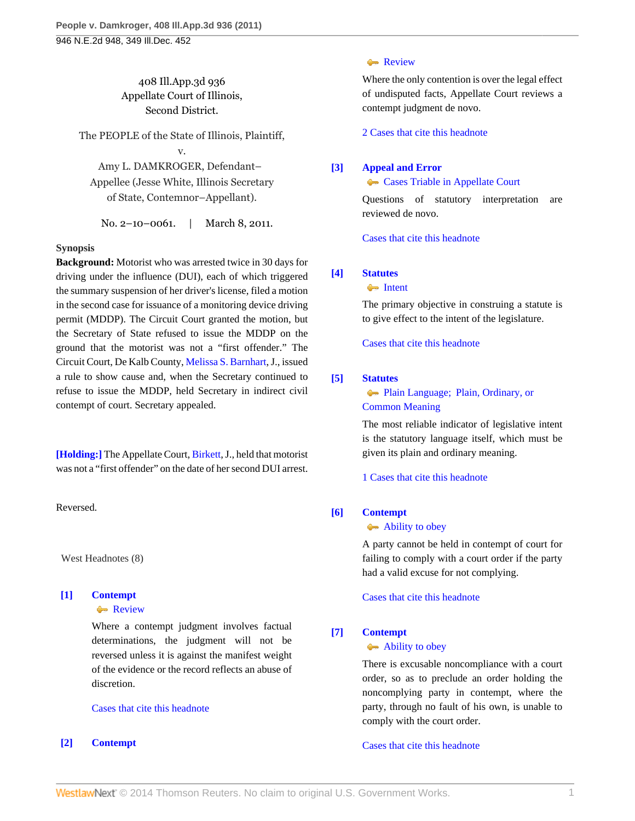408 Ill.App.3d 936 Appellate Court of Illinois, Second District.

The PEOPLE of the State of Illinois, Plaintiff,

v.

Amy L. DAMKROGER, Defendant– Appellee (Jesse White, Illinois Secretary of State, Contemnor–Appellant).

No. 2–10–0061. | March 8, 2011.

## **Synopsis**

**Background:** Motorist who was arrested twice in 30 days for driving under the influence (DUI), each of which triggered the summary suspension of her driver's license, filed a motion in the second case for issuance of a monitoring device driving permit (MDDP). The Circuit Court granted the motion, but the Secretary of State refused to issue the MDDP on the ground that the motorist was not a "first offender." The Circuit Court, De Kalb County, [Melissa S. Barnhart,](http://www.westlaw.com/Link/Document/FullText?findType=h&pubNum=176284&cite=0101643701&originatingDoc=I2f2bca2b4bce11e0b931b80af77abaf1&refType=RQ&originationContext=document&vr=3.0&rs=cblt1.0&transitionType=DocumentItem&contextData=(sc.Search)) J., issued a rule to show cause and, when the Secretary continued to refuse to issue the MDDP, held Secretary in indirect civil contempt of court. Secretary appealed.

**[\[Holding:\]](#page-1-0)** The Appellate Court, [Birkett,](http://www.westlaw.com/Link/Document/FullText?findType=h&pubNum=176284&cite=0124634501&originatingDoc=I2f2bca2b4bce11e0b931b80af77abaf1&refType=RQ&originationContext=document&vr=3.0&rs=cblt1.0&transitionType=DocumentItem&contextData=(sc.Search)) J., held that motorist was not a "first offender" on the date of her second DUI arrest.

Reversed.

West Headnotes (8)

# <span id="page-0-0"></span>**[\[1\]](#page-2-0) [Contempt](http://www.westlaw.com/Browse/Home/KeyNumber/93/View.html?docGuid=I2f2bca2b4bce11e0b931b80af77abaf1&originationContext=document&vr=3.0&rs=cblt1.0&transitionType=DocumentItem&contextData=(sc.Search))**

**[Review](http://www.westlaw.com/Browse/Home/KeyNumber/93k66(7)/View.html?docGuid=I2f2bca2b4bce11e0b931b80af77abaf1&originationContext=document&vr=3.0&rs=cblt1.0&transitionType=DocumentItem&contextData=(sc.Search))** 

Where a contempt judgment involves factual determinations, the judgment will not be reversed unless it is against the manifest weight of the evidence or the record reflects an abuse of discretion.

[Cases that cite this headnote](http://www.westlaw.com/Link/RelatedInformation/DocHeadnoteLink?docGuid=I2f2bca2b4bce11e0b931b80af77abaf1&headnoteId=202476495700120130207024257&originationContext=document&vr=3.0&rs=cblt1.0&transitionType=CitingReferences&contextData=(sc.Search))

## <span id="page-0-1"></span>**[\[2\]](#page-2-1) [Contempt](http://www.westlaw.com/Browse/Home/KeyNumber/93/View.html?docGuid=I2f2bca2b4bce11e0b931b80af77abaf1&originationContext=document&vr=3.0&rs=cblt1.0&transitionType=DocumentItem&contextData=(sc.Search))**

### [Review](http://www.westlaw.com/Browse/Home/KeyNumber/93k66(7)/View.html?docGuid=I2f2bca2b4bce11e0b931b80af77abaf1&originationContext=document&vr=3.0&rs=cblt1.0&transitionType=DocumentItem&contextData=(sc.Search))

Where the only contention is over the legal effect of undisputed facts, Appellate Court reviews a contempt judgment de novo.

[2 Cases that cite this headnote](http://www.westlaw.com/Link/RelatedInformation/DocHeadnoteLink?docGuid=I2f2bca2b4bce11e0b931b80af77abaf1&headnoteId=202476495700220130207024257&originationContext=document&vr=3.0&rs=cblt1.0&transitionType=CitingReferences&contextData=(sc.Search))

# <span id="page-0-2"></span>**[\[3\]](#page-3-0) [Appeal and Error](http://www.westlaw.com/Browse/Home/KeyNumber/30/View.html?docGuid=I2f2bca2b4bce11e0b931b80af77abaf1&originationContext=document&vr=3.0&rs=cblt1.0&transitionType=DocumentItem&contextData=(sc.Search))**

**[Cases Triable in Appellate Court](http://www.westlaw.com/Browse/Home/KeyNumber/30k893/View.html?docGuid=I2f2bca2b4bce11e0b931b80af77abaf1&originationContext=document&vr=3.0&rs=cblt1.0&transitionType=DocumentItem&contextData=(sc.Search))** 

Questions of statutory interpretation are reviewed de novo.

[Cases that cite this headnote](http://www.westlaw.com/Link/RelatedInformation/DocHeadnoteLink?docGuid=I2f2bca2b4bce11e0b931b80af77abaf1&headnoteId=202476495700320130207024257&originationContext=document&vr=3.0&rs=cblt1.0&transitionType=CitingReferences&contextData=(sc.Search))

# <span id="page-0-3"></span>**[\[4\]](#page-3-1) [Statutes](http://www.westlaw.com/Browse/Home/KeyNumber/361/View.html?docGuid=I2f2bca2b4bce11e0b931b80af77abaf1&originationContext=document&vr=3.0&rs=cblt1.0&transitionType=DocumentItem&contextData=(sc.Search))**

### **[Intent](http://www.westlaw.com/Browse/Home/KeyNumber/361k1071/View.html?docGuid=I2f2bca2b4bce11e0b931b80af77abaf1&originationContext=document&vr=3.0&rs=cblt1.0&transitionType=DocumentItem&contextData=(sc.Search))**

The primary objective in construing a statute is to give effect to the intent of the legislature.

[Cases that cite this headnote](http://www.westlaw.com/Link/RelatedInformation/DocHeadnoteLink?docGuid=I2f2bca2b4bce11e0b931b80af77abaf1&headnoteId=202476495700420130207024257&originationContext=document&vr=3.0&rs=cblt1.0&transitionType=CitingReferences&contextData=(sc.Search))

# <span id="page-0-4"></span>**[\[5\]](#page-3-2) [Statutes](http://www.westlaw.com/Browse/Home/KeyNumber/361/View.html?docGuid=I2f2bca2b4bce11e0b931b80af77abaf1&originationContext=document&vr=3.0&rs=cblt1.0&transitionType=DocumentItem&contextData=(sc.Search))**

# [Plain Language; Plain, Ordinary, or](http://www.westlaw.com/Browse/Home/KeyNumber/361III(B)/View.html?docGuid=I2f2bca2b4bce11e0b931b80af77abaf1&originationContext=document&vr=3.0&rs=cblt1.0&transitionType=DocumentItem&contextData=(sc.Search)) [Common Meaning](http://www.westlaw.com/Browse/Home/KeyNumber/361III(B)/View.html?docGuid=I2f2bca2b4bce11e0b931b80af77abaf1&originationContext=document&vr=3.0&rs=cblt1.0&transitionType=DocumentItem&contextData=(sc.Search))

The most reliable indicator of legislative intent is the statutory language itself, which must be given its plain and ordinary meaning.

[1 Cases that cite this headnote](http://www.westlaw.com/Link/RelatedInformation/DocHeadnoteLink?docGuid=I2f2bca2b4bce11e0b931b80af77abaf1&headnoteId=202476495700520130207024257&originationContext=document&vr=3.0&rs=cblt1.0&transitionType=CitingReferences&contextData=(sc.Search))

## <span id="page-0-5"></span>**[\[6\]](#page-3-3) [Contempt](http://www.westlaw.com/Browse/Home/KeyNumber/93/View.html?docGuid=I2f2bca2b4bce11e0b931b80af77abaf1&originationContext=document&vr=3.0&rs=cblt1.0&transitionType=DocumentItem&contextData=(sc.Search))**

### [Ability to obey](http://www.westlaw.com/Browse/Home/KeyNumber/93k24/View.html?docGuid=I2f2bca2b4bce11e0b931b80af77abaf1&originationContext=document&vr=3.0&rs=cblt1.0&transitionType=DocumentItem&contextData=(sc.Search))

A party cannot be held in contempt of court for failing to comply with a court order if the party had a valid excuse for not complying.

[Cases that cite this headnote](http://www.westlaw.com/Link/RelatedInformation/DocHeadnoteLink?docGuid=I2f2bca2b4bce11e0b931b80af77abaf1&headnoteId=202476495700620130207024257&originationContext=document&vr=3.0&rs=cblt1.0&transitionType=CitingReferences&contextData=(sc.Search))

## <span id="page-0-6"></span>**[\[7\]](#page-3-4) [Contempt](http://www.westlaw.com/Browse/Home/KeyNumber/93/View.html?docGuid=I2f2bca2b4bce11e0b931b80af77abaf1&originationContext=document&vr=3.0&rs=cblt1.0&transitionType=DocumentItem&contextData=(sc.Search))**

### [Ability to obey](http://www.westlaw.com/Browse/Home/KeyNumber/93k24/View.html?docGuid=I2f2bca2b4bce11e0b931b80af77abaf1&originationContext=document&vr=3.0&rs=cblt1.0&transitionType=DocumentItem&contextData=(sc.Search))

There is excusable noncompliance with a court order, so as to preclude an order holding the noncomplying party in contempt, where the party, through no fault of his own, is unable to comply with the court order.

[Cases that cite this headnote](http://www.westlaw.com/Link/RelatedInformation/DocHeadnoteLink?docGuid=I2f2bca2b4bce11e0b931b80af77abaf1&headnoteId=202476495700720130207024257&originationContext=document&vr=3.0&rs=cblt1.0&transitionType=CitingReferences&contextData=(sc.Search))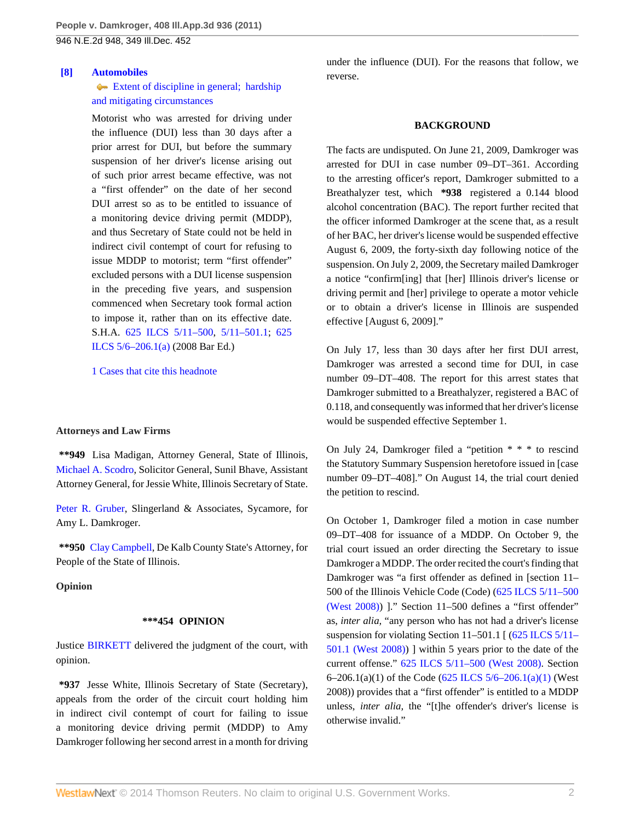#### <span id="page-1-0"></span>**[\[8\]](#page-4-0) [Automobiles](http://www.westlaw.com/Browse/Home/KeyNumber/48A/View.html?docGuid=I2f2bca2b4bce11e0b931b80af77abaf1&originationContext=document&vr=3.0&rs=cblt1.0&transitionType=DocumentItem&contextData=(sc.Search))**

## [Extent of discipline in general; hardship](http://www.westlaw.com/Browse/Home/KeyNumber/48Ak144.5/View.html?docGuid=I2f2bca2b4bce11e0b931b80af77abaf1&originationContext=document&vr=3.0&rs=cblt1.0&transitionType=DocumentItem&contextData=(sc.Search)) [and mitigating circumstances](http://www.westlaw.com/Browse/Home/KeyNumber/48Ak144.5/View.html?docGuid=I2f2bca2b4bce11e0b931b80af77abaf1&originationContext=document&vr=3.0&rs=cblt1.0&transitionType=DocumentItem&contextData=(sc.Search))

Motorist who was arrested for driving under the influence (DUI) less than 30 days after a prior arrest for DUI, but before the summary suspension of her driver's license arising out of such prior arrest became effective, was not a "first offender" on the date of her second DUI arrest so as to be entitled to issuance of a monitoring device driving permit (MDDP), and thus Secretary of State could not be held in indirect civil contempt of court for refusing to issue MDDP to motorist; term "first offender" excluded persons with a DUI license suspension in the preceding five years, and suspension commenced when Secretary took formal action to impose it, rather than on its effective date. S.H.A. [625 ILCS 5/11–500,](http://www.westlaw.com/Link/Document/FullText?findType=L&pubNum=1000008&cite=IL625S5%2f11-500&originatingDoc=I2f2bca2b4bce11e0b931b80af77abaf1&refType=LQ&originationContext=document&vr=3.0&rs=cblt1.0&transitionType=DocumentItem&contextData=(sc.Search)) [5/11–501.1;](http://www.westlaw.com/Link/Document/FullText?findType=L&pubNum=1000008&cite=IL625S5%2f11-501.1&originatingDoc=I2f2bca2b4bce11e0b931b80af77abaf1&refType=LQ&originationContext=document&vr=3.0&rs=cblt1.0&transitionType=DocumentItem&contextData=(sc.Search)) [625](http://www.westlaw.com/Link/Document/FullText?findType=L&pubNum=1000008&cite=IL625S5%2f6-206.1&originatingDoc=I2f2bca2b4bce11e0b931b80af77abaf1&refType=SP&originationContext=document&vr=3.0&rs=cblt1.0&transitionType=DocumentItem&contextData=(sc.Search)#co_pp_8b3b0000958a4) [ILCS 5/6–206.1\(a\)](http://www.westlaw.com/Link/Document/FullText?findType=L&pubNum=1000008&cite=IL625S5%2f6-206.1&originatingDoc=I2f2bca2b4bce11e0b931b80af77abaf1&refType=SP&originationContext=document&vr=3.0&rs=cblt1.0&transitionType=DocumentItem&contextData=(sc.Search)#co_pp_8b3b0000958a4) (2008 Bar Ed.)

[1 Cases that cite this headnote](http://www.westlaw.com/Link/RelatedInformation/DocHeadnoteLink?docGuid=I2f2bca2b4bce11e0b931b80af77abaf1&headnoteId=202476495700820130207024257&originationContext=document&vr=3.0&rs=cblt1.0&transitionType=CitingReferences&contextData=(sc.Search))

#### **Attorneys and Law Firms**

**\*\*949** Lisa Madigan, Attorney General, State of Illinois, [Michael A. Scodro](http://www.westlaw.com/Link/Document/FullText?findType=h&pubNum=176284&cite=0253594001&originatingDoc=I2f2bca2b4bce11e0b931b80af77abaf1&refType=RQ&originationContext=document&vr=3.0&rs=cblt1.0&transitionType=DocumentItem&contextData=(sc.Search)), Solicitor General, Sunil Bhave, Assistant Attorney General, for Jessie White, Illinois Secretary of State.

[Peter R. Gruber](http://www.westlaw.com/Link/Document/FullText?findType=h&pubNum=176284&cite=0217687401&originatingDoc=I2f2bca2b4bce11e0b931b80af77abaf1&refType=RQ&originationContext=document&vr=3.0&rs=cblt1.0&transitionType=DocumentItem&contextData=(sc.Search)), Slingerland & Associates, Sycamore, for Amy L. Damkroger.

**\*\*950** [Clay Campbell,](http://www.westlaw.com/Link/Document/FullText?findType=h&pubNum=176284&cite=0329510601&originatingDoc=I2f2bca2b4bce11e0b931b80af77abaf1&refType=RQ&originationContext=document&vr=3.0&rs=cblt1.0&transitionType=DocumentItem&contextData=(sc.Search)) De Kalb County State's Attorney, for People of the State of Illinois.

### **Opinion**

#### **\*\*\*454 OPINION**

Justice [BIRKETT](http://www.westlaw.com/Link/Document/FullText?findType=h&pubNum=176284&cite=0124634501&originatingDoc=I2f2bca2b4bce11e0b931b80af77abaf1&refType=RQ&originationContext=document&vr=3.0&rs=cblt1.0&transitionType=DocumentItem&contextData=(sc.Search)) delivered the judgment of the court, with opinion.

**\*937** Jesse White, Illinois Secretary of State (Secretary), appeals from the order of the circuit court holding him in indirect civil contempt of court for failing to issue a monitoring device driving permit (MDDP) to Amy Damkroger following her second arrest in a month for driving under the influence (DUI). For the reasons that follow, we reverse.

#### **BACKGROUND**

The facts are undisputed. On June 21, 2009, Damkroger was arrested for DUI in case number 09–DT–361. According to the arresting officer's report, Damkroger submitted to a Breathalyzer test, which **\*938** registered a 0.144 blood alcohol concentration (BAC). The report further recited that the officer informed Damkroger at the scene that, as a result of her BAC, her driver's license would be suspended effective August 6, 2009, the forty-sixth day following notice of the suspension. On July 2, 2009, the Secretary mailed Damkroger a notice "confirm[ing] that [her] Illinois driver's license or driving permit and [her] privilege to operate a motor vehicle or to obtain a driver's license in Illinois are suspended effective [August 6, 2009]."

On July 17, less than 30 days after her first DUI arrest, Damkroger was arrested a second time for DUI, in case number 09–DT–408. The report for this arrest states that Damkroger submitted to a Breathalyzer, registered a BAC of 0.118, and consequently was informed that her driver's license would be suspended effective September 1.

On July 24, Damkroger filed a "petition \* \* \* to rescind the Statutory Summary Suspension heretofore issued in [case number 09–DT–408]." On August 14, the trial court denied the petition to rescind.

On October 1, Damkroger filed a motion in case number 09–DT–408 for issuance of a MDDP. On October 9, the trial court issued an order directing the Secretary to issue Damkroger a MDDP. The order recited the court's finding that Damkroger was "a first offender as defined in [section 11– 500 of the Illinois Vehicle Code (Code) ([625 ILCS 5/11–500](http://www.westlaw.com/Link/Document/FullText?findType=L&pubNum=1000008&cite=IL625S5%2f11-500&originatingDoc=I2f2bca2b4bce11e0b931b80af77abaf1&refType=LQ&originationContext=document&vr=3.0&rs=cblt1.0&transitionType=DocumentItem&contextData=(sc.Search)) [\(West 2008\)\)](http://www.westlaw.com/Link/Document/FullText?findType=L&pubNum=1000008&cite=IL625S5%2f11-500&originatingDoc=I2f2bca2b4bce11e0b931b80af77abaf1&refType=LQ&originationContext=document&vr=3.0&rs=cblt1.0&transitionType=DocumentItem&contextData=(sc.Search)) ]." Section 11–500 defines a "first offender" as, *inter alia,* "any person who has not had a driver's license suspension for violating Section 11–501.1 [ ([625 ILCS 5/11–](http://www.westlaw.com/Link/Document/FullText?findType=L&pubNum=1000008&cite=IL625S5%2f11-501.1&originatingDoc=I2f2bca2b4bce11e0b931b80af77abaf1&refType=LQ&originationContext=document&vr=3.0&rs=cblt1.0&transitionType=DocumentItem&contextData=(sc.Search)) [501.1 \(West 2008\)](http://www.westlaw.com/Link/Document/FullText?findType=L&pubNum=1000008&cite=IL625S5%2f11-501.1&originatingDoc=I2f2bca2b4bce11e0b931b80af77abaf1&refType=LQ&originationContext=document&vr=3.0&rs=cblt1.0&transitionType=DocumentItem&contextData=(sc.Search))) ] within 5 years prior to the date of the current offense." [625 ILCS 5/11–500 \(West 2008\)](http://www.westlaw.com/Link/Document/FullText?findType=L&pubNum=1000008&cite=IL625S5%2f11-500&originatingDoc=I2f2bca2b4bce11e0b931b80af77abaf1&refType=LQ&originationContext=document&vr=3.0&rs=cblt1.0&transitionType=DocumentItem&contextData=(sc.Search)). Section 6–206.1(a)(1) of the Code (625 ILCS  $5/6$ –206.1(a)(1) (West 2008)) provides that a "first offender" is entitled to a MDDP unless, *inter alia,* the "[t]he offender's driver's license is otherwise invalid."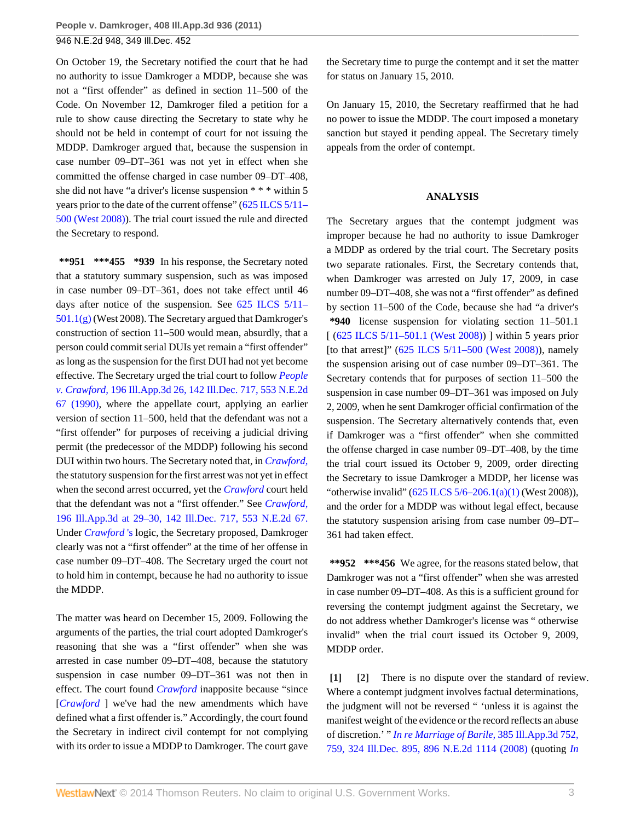On October 19, the Secretary notified the court that he had no authority to issue Damkroger a MDDP, because she was not a "first offender" as defined in section 11–500 of the Code. On November 12, Damkroger filed a petition for a rule to show cause directing the Secretary to state why he should not be held in contempt of court for not issuing the MDDP. Damkroger argued that, because the suspension in case number 09–DT–361 was not yet in effect when she committed the offense charged in case number 09–DT–408, she did not have "a driver's license suspension \* \* \* within 5 years prior to the date of the current offense" ([625 ILCS 5/11–](http://www.westlaw.com/Link/Document/FullText?findType=L&pubNum=1000008&cite=IL625S5%2f11-500&originatingDoc=I2f2bca2b4bce11e0b931b80af77abaf1&refType=LQ&originationContext=document&vr=3.0&rs=cblt1.0&transitionType=DocumentItem&contextData=(sc.Search)) [500 \(West 2008\)\)](http://www.westlaw.com/Link/Document/FullText?findType=L&pubNum=1000008&cite=IL625S5%2f11-500&originatingDoc=I2f2bca2b4bce11e0b931b80af77abaf1&refType=LQ&originationContext=document&vr=3.0&rs=cblt1.0&transitionType=DocumentItem&contextData=(sc.Search)). The trial court issued the rule and directed the Secretary to respond.

**\*\*951 \*\*\*455 \*939** In his response, the Secretary noted that a statutory summary suspension, such as was imposed in case number 09–DT–361, does not take effect until 46 days after notice of the suspension. See [625 ILCS 5/11–](http://www.westlaw.com/Link/Document/FullText?findType=L&pubNum=1000008&cite=IL625S5%2f11-501.1&originatingDoc=I2f2bca2b4bce11e0b931b80af77abaf1&refType=SP&originationContext=document&vr=3.0&rs=cblt1.0&transitionType=DocumentItem&contextData=(sc.Search)#co_pp_16f4000091d86) [501.1\(g\)](http://www.westlaw.com/Link/Document/FullText?findType=L&pubNum=1000008&cite=IL625S5%2f11-501.1&originatingDoc=I2f2bca2b4bce11e0b931b80af77abaf1&refType=SP&originationContext=document&vr=3.0&rs=cblt1.0&transitionType=DocumentItem&contextData=(sc.Search)#co_pp_16f4000091d86) (West 2008). The Secretary argued that Damkroger's construction of section 11–500 would mean, absurdly, that a person could commit serial DUIs yet remain a "first offender" as long as the suspension for the first DUI had not yet become effective. The Secretary urged the trial court to follow *[People](http://www.westlaw.com/Link/Document/FullText?findType=Y&serNum=1990057538&pubNum=578&originationContext=document&vr=3.0&rs=cblt1.0&transitionType=DocumentItem&contextData=(sc.Search)) v. Crawford,* [196 Ill.App.3d 26, 142 Ill.Dec. 717, 553 N.E.2d](http://www.westlaw.com/Link/Document/FullText?findType=Y&serNum=1990057538&pubNum=578&originationContext=document&vr=3.0&rs=cblt1.0&transitionType=DocumentItem&contextData=(sc.Search)) [67 \(1990\)](http://www.westlaw.com/Link/Document/FullText?findType=Y&serNum=1990057538&pubNum=578&originationContext=document&vr=3.0&rs=cblt1.0&transitionType=DocumentItem&contextData=(sc.Search)), where the appellate court, applying an earlier version of section 11–500, held that the defendant was not a "first offender" for purposes of receiving a judicial driving permit (the predecessor of the MDDP) following his second DUI within two hours. The Secretary noted that, in *[Crawford,](http://www.westlaw.com/Link/Document/FullText?findType=Y&serNum=1990057538&originationContext=document&vr=3.0&rs=cblt1.0&transitionType=DocumentItem&contextData=(sc.Search))* the statutory suspension for the first arrest was not yet in effect when the second arrest occurred, yet the *[Crawford](http://www.westlaw.com/Link/Document/FullText?findType=Y&serNum=1990057538&originationContext=document&vr=3.0&rs=cblt1.0&transitionType=DocumentItem&contextData=(sc.Search))* court held that the defendant was not a "first offender." See *[Crawford,](http://www.westlaw.com/Link/Document/FullText?findType=Y&serNum=1990057538&pubNum=578&originationContext=document&vr=3.0&rs=cblt1.0&transitionType=DocumentItem&contextData=(sc.Search))* [196 Ill.App.3d at 29–30, 142 Ill.Dec. 717, 553 N.E.2d 67.](http://www.westlaw.com/Link/Document/FullText?findType=Y&serNum=1990057538&pubNum=578&originationContext=document&vr=3.0&rs=cblt1.0&transitionType=DocumentItem&contextData=(sc.Search)) Under *[Crawford](http://www.westlaw.com/Link/Document/FullText?findType=Y&serNum=1990057538&originationContext=document&vr=3.0&rs=cblt1.0&transitionType=DocumentItem&contextData=(sc.Search))* 's logic, the Secretary proposed, Damkroger clearly was not a "first offender" at the time of her offense in case number 09–DT–408. The Secretary urged the court not to hold him in contempt, because he had no authority to issue the MDDP.

The matter was heard on December 15, 2009. Following the arguments of the parties, the trial court adopted Damkroger's reasoning that she was a "first offender" when she was arrested in case number 09–DT–408, because the statutory suspension in case number 09–DT–361 was not then in effect. The court found *[Crawford](http://www.westlaw.com/Link/Document/FullText?findType=Y&serNum=1990057538&originationContext=document&vr=3.0&rs=cblt1.0&transitionType=DocumentItem&contextData=(sc.Search))* inapposite because "since [*[Crawford](http://www.westlaw.com/Link/Document/FullText?findType=Y&serNum=1990057538&originationContext=document&vr=3.0&rs=cblt1.0&transitionType=DocumentItem&contextData=(sc.Search))* ] we've had the new amendments which have defined what a first offender is." Accordingly, the court found the Secretary in indirect civil contempt for not complying with its order to issue a MDDP to Damkroger. The court gave

the Secretary time to purge the contempt and it set the matter for status on January 15, 2010.

On January 15, 2010, the Secretary reaffirmed that he had no power to issue the MDDP. The court imposed a monetary sanction but stayed it pending appeal. The Secretary timely appeals from the order of contempt.

### **ANALYSIS**

The Secretary argues that the contempt judgment was improper because he had no authority to issue Damkroger a MDDP as ordered by the trial court. The Secretary posits two separate rationales. First, the Secretary contends that, when Damkroger was arrested on July 17, 2009, in case number 09–DT–408, she was not a "first offender" as defined by section 11–500 of the Code, because she had "a driver's **\*940** license suspension for violating section 11–501.1 [ (625 ILCS 5/11-501.1 (West 2008)) ] within 5 years prior [to that arrest]"  $(625$  ILCS  $5/11-500$  (West 2008)), namely the suspension arising out of case number 09–DT–361. The Secretary contends that for purposes of section 11–500 the suspension in case number 09–DT–361 was imposed on July 2, 2009, when he sent Damkroger official confirmation of the suspension. The Secretary alternatively contends that, even if Damkroger was a "first offender" when she committed the offense charged in case number 09–DT–408, by the time the trial court issued its October 9, 2009, order directing the Secretary to issue Damkroger a MDDP, her license was "otherwise invalid"  $(625$  ILCS  $5/6-206.1(a)(1)$  (West 2008)), and the order for a MDDP was without legal effect, because the statutory suspension arising from case number 09–DT– 361 had taken effect.

**\*\*952 \*\*\*456** We agree, for the reasons stated below, that Damkroger was not a "first offender" when she was arrested in case number 09–DT–408. As this is a sufficient ground for reversing the contempt judgment against the Secretary, we do not address whether Damkroger's license was " otherwise invalid" when the trial court issued its October 9, 2009, MDDP order.

<span id="page-2-1"></span><span id="page-2-0"></span>**[\[1\]](#page-0-0) [\[2\]](#page-0-1)** There is no dispute over the standard of review. Where a contempt judgment involves factual determinations, the judgment will not be reversed " 'unless it is against the manifest weight of the evidence or the record reflects an abuse of discretion.' " *[In re Marriage of Barile,](http://www.westlaw.com/Link/Document/FullText?findType=Y&serNum=2017274070&pubNum=578&originationContext=document&vr=3.0&rs=cblt1.0&transitionType=DocumentItem&contextData=(sc.Search))* 385 Ill.App.3d 752, [759, 324 Ill.Dec. 895, 896 N.E.2d 1114 \(2008\)](http://www.westlaw.com/Link/Document/FullText?findType=Y&serNum=2017274070&pubNum=578&originationContext=document&vr=3.0&rs=cblt1.0&transitionType=DocumentItem&contextData=(sc.Search)) (quoting *[In](http://www.westlaw.com/Link/Document/FullText?findType=Y&serNum=1984145694&pubNum=578&originationContext=document&vr=3.0&rs=cblt1.0&transitionType=DocumentItem&contextData=(sc.Search))*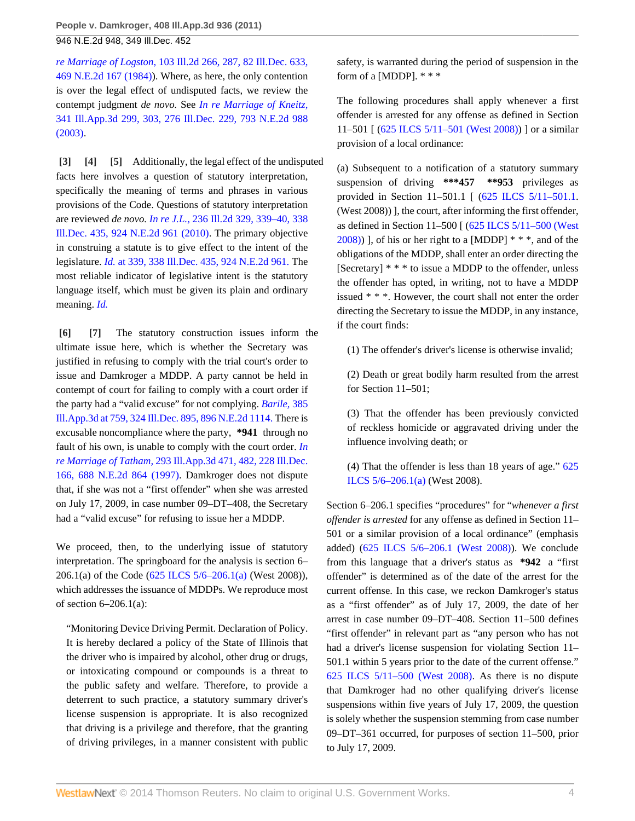*re Marriage of Logston,* [103 Ill.2d 266, 287, 82 Ill.Dec. 633,](http://www.westlaw.com/Link/Document/FullText?findType=Y&serNum=1984145694&pubNum=578&originationContext=document&vr=3.0&rs=cblt1.0&transitionType=DocumentItem&contextData=(sc.Search)) [469 N.E.2d 167 \(1984\)\)](http://www.westlaw.com/Link/Document/FullText?findType=Y&serNum=1984145694&pubNum=578&originationContext=document&vr=3.0&rs=cblt1.0&transitionType=DocumentItem&contextData=(sc.Search)). Where, as here, the only contention is over the legal effect of undisputed facts, we review the contempt judgment *de novo.* See *[In re Marriage of Kneitz,](http://www.westlaw.com/Link/Document/FullText?findType=Y&serNum=2003505459&pubNum=578&originationContext=document&vr=3.0&rs=cblt1.0&transitionType=DocumentItem&contextData=(sc.Search))* [341 Ill.App.3d 299, 303, 276 Ill.Dec. 229, 793 N.E.2d 988](http://www.westlaw.com/Link/Document/FullText?findType=Y&serNum=2003505459&pubNum=578&originationContext=document&vr=3.0&rs=cblt1.0&transitionType=DocumentItem&contextData=(sc.Search)) [\(2003\).](http://www.westlaw.com/Link/Document/FullText?findType=Y&serNum=2003505459&pubNum=578&originationContext=document&vr=3.0&rs=cblt1.0&transitionType=DocumentItem&contextData=(sc.Search))

<span id="page-3-2"></span><span id="page-3-1"></span><span id="page-3-0"></span>**[\[3\]](#page-0-2) [\[4](#page-0-3)] [\[5\]](#page-0-4)** Additionally, the legal effect of the undisputed facts here involves a question of statutory interpretation, specifically the meaning of terms and phrases in various provisions of the Code. Questions of statutory interpretation are reviewed *de novo. In re J.L.,* [236 Ill.2d 329, 339–40, 338](http://www.westlaw.com/Link/Document/FullText?findType=Y&serNum=2021389134&pubNum=578&originationContext=document&vr=3.0&rs=cblt1.0&transitionType=DocumentItem&contextData=(sc.Search)) [Ill.Dec. 435, 924 N.E.2d 961 \(2010\).](http://www.westlaw.com/Link/Document/FullText?findType=Y&serNum=2021389134&pubNum=578&originationContext=document&vr=3.0&rs=cblt1.0&transitionType=DocumentItem&contextData=(sc.Search)) The primary objective in construing a statute is to give effect to the intent of the legislature. *Id.* [at 339, 338 Ill.Dec. 435, 924 N.E.2d 961.](http://www.westlaw.com/Link/Document/FullText?findType=Y&serNum=2021389134&pubNum=578&originationContext=document&vr=3.0&rs=cblt1.0&transitionType=DocumentItem&contextData=(sc.Search)) The most reliable indicator of legislative intent is the statutory language itself, which must be given its plain and ordinary meaning. *[Id.](http://www.westlaw.com/Link/Document/FullText?findType=Y&serNum=2021389134&originationContext=document&vr=3.0&rs=cblt1.0&transitionType=DocumentItem&contextData=(sc.Search))*

<span id="page-3-4"></span><span id="page-3-3"></span>**[\[6\]](#page-0-5) [\[7\]](#page-0-6)** The statutory construction issues inform the ultimate issue here, which is whether the Secretary was justified in refusing to comply with the trial court's order to issue and Damkroger a MDDP. A party cannot be held in contempt of court for failing to comply with a court order if the party had a "valid excuse" for not complying. *[Barile,](http://www.westlaw.com/Link/Document/FullText?findType=Y&serNum=2017274070&pubNum=578&originationContext=document&vr=3.0&rs=cblt1.0&transitionType=DocumentItem&contextData=(sc.Search))* 385 [Ill.App.3d at 759, 324 Ill.Dec. 895, 896 N.E.2d 1114.](http://www.westlaw.com/Link/Document/FullText?findType=Y&serNum=2017274070&pubNum=578&originationContext=document&vr=3.0&rs=cblt1.0&transitionType=DocumentItem&contextData=(sc.Search)) There is excusable noncompliance where the party, **\*941** through no fault of his own, is unable to comply with the court order. *[In](http://www.westlaw.com/Link/Document/FullText?findType=Y&serNum=1997252400&pubNum=578&originationContext=document&vr=3.0&rs=cblt1.0&transitionType=DocumentItem&contextData=(sc.Search)) re Marriage of Tatham,* [293 Ill.App.3d 471, 482, 228 Ill.Dec.](http://www.westlaw.com/Link/Document/FullText?findType=Y&serNum=1997252400&pubNum=578&originationContext=document&vr=3.0&rs=cblt1.0&transitionType=DocumentItem&contextData=(sc.Search)) [166, 688 N.E.2d 864 \(1997\).](http://www.westlaw.com/Link/Document/FullText?findType=Y&serNum=1997252400&pubNum=578&originationContext=document&vr=3.0&rs=cblt1.0&transitionType=DocumentItem&contextData=(sc.Search)) Damkroger does not dispute that, if she was not a "first offender" when she was arrested on July 17, 2009, in case number 09–DT–408, the Secretary had a "valid excuse" for refusing to issue her a MDDP.

We proceed, then, to the underlying issue of statutory interpretation. The springboard for the analysis is section 6– 206.1(a) of the Code [\(625 ILCS 5/6–206.1\(a\)](http://www.westlaw.com/Link/Document/FullText?findType=L&pubNum=1000008&cite=IL625S5%2f6-206.1&originatingDoc=I2f2bca2b4bce11e0b931b80af77abaf1&refType=SP&originationContext=document&vr=3.0&rs=cblt1.0&transitionType=DocumentItem&contextData=(sc.Search)#co_pp_8b3b0000958a4) (West 2008)), which addresses the issuance of MDDPs. We reproduce most of section 6–206.1(a):

"Monitoring Device Driving Permit. Declaration of Policy. It is hereby declared a policy of the State of Illinois that the driver who is impaired by alcohol, other drug or drugs, or intoxicating compound or compounds is a threat to the public safety and welfare. Therefore, to provide a deterrent to such practice, a statutory summary driver's license suspension is appropriate. It is also recognized that driving is a privilege and therefore, that the granting of driving privileges, in a manner consistent with public safety, is warranted during the period of suspension in the form of a [MDDP]. \* \* \*

The following procedures shall apply whenever a first offender is arrested for any offense as defined in Section 11–501 [ [\(625 ILCS 5/11–501 \(West 2008\)\)](http://www.westlaw.com/Link/Document/FullText?findType=L&pubNum=1000008&cite=IL625S5%2f11-501&originatingDoc=I2f2bca2b4bce11e0b931b80af77abaf1&refType=LQ&originationContext=document&vr=3.0&rs=cblt1.0&transitionType=DocumentItem&contextData=(sc.Search)) ] or a similar provision of a local ordinance:

(a) Subsequent to a notification of a statutory summary suspension of driving **\*\*\*457 \*\*953** privileges as provided in Section 11–501.1 [ ([625 ILCS 5/11–501.1](http://www.westlaw.com/Link/Document/FullText?findType=L&pubNum=1000008&cite=IL625S5%2f11-501.1&originatingDoc=I2f2bca2b4bce11e0b931b80af77abaf1&refType=LQ&originationContext=document&vr=3.0&rs=cblt1.0&transitionType=DocumentItem&contextData=(sc.Search)). (West 2008)) ], the court, after informing the first offender, as defined in Section 11–500 [ [\(625 ILCS 5/11–500 \(West](http://www.westlaw.com/Link/Document/FullText?findType=L&pubNum=1000008&cite=IL625S5%2f11-500&originatingDoc=I2f2bca2b4bce11e0b931b80af77abaf1&refType=LQ&originationContext=document&vr=3.0&rs=cblt1.0&transitionType=DocumentItem&contextData=(sc.Search)) [2008\)](http://www.westlaw.com/Link/Document/FullText?findType=L&pubNum=1000008&cite=IL625S5%2f11-500&originatingDoc=I2f2bca2b4bce11e0b931b80af77abaf1&refType=LQ&originationContext=document&vr=3.0&rs=cblt1.0&transitionType=DocumentItem&contextData=(sc.Search))) ], of his or her right to a [MDDP] \* \* \*, and of the obligations of the MDDP, shall enter an order directing the [Secretary] \* \* \* to issue a MDDP to the offender, unless the offender has opted, in writing, not to have a MDDP issued \* \* \*. However, the court shall not enter the order directing the Secretary to issue the MDDP, in any instance, if the court finds:

(1) The offender's driver's license is otherwise invalid;

(2) Death or great bodily harm resulted from the arrest for Section 11–501;

(3) That the offender has been previously convicted of reckless homicide or aggravated driving under the influence involving death; or

(4) That the offender is less than 18 years of age." [625](http://www.westlaw.com/Link/Document/FullText?findType=L&pubNum=1000008&cite=IL625S5%2f6-206.1&originatingDoc=I2f2bca2b4bce11e0b931b80af77abaf1&refType=SP&originationContext=document&vr=3.0&rs=cblt1.0&transitionType=DocumentItem&contextData=(sc.Search)#co_pp_8b3b0000958a4) [ILCS 5/6–206.1\(a\)](http://www.westlaw.com/Link/Document/FullText?findType=L&pubNum=1000008&cite=IL625S5%2f6-206.1&originatingDoc=I2f2bca2b4bce11e0b931b80af77abaf1&refType=SP&originationContext=document&vr=3.0&rs=cblt1.0&transitionType=DocumentItem&contextData=(sc.Search)#co_pp_8b3b0000958a4) (West 2008).

Section 6–206.1 specifies "procedures" for "*whenever a first offender is arrested* for any offense as defined in Section 11– 501 or a similar provision of a local ordinance" (emphasis added) [\(625 ILCS 5/6–206.1 \(West 2008\)\)](http://www.westlaw.com/Link/Document/FullText?findType=L&pubNum=1000008&cite=IL625S5%2f6-206.1&originatingDoc=I2f2bca2b4bce11e0b931b80af77abaf1&refType=LQ&originationContext=document&vr=3.0&rs=cblt1.0&transitionType=DocumentItem&contextData=(sc.Search)). We conclude from this language that a driver's status as **\*942** a "first offender" is determined as of the date of the arrest for the current offense. In this case, we reckon Damkroger's status as a "first offender" as of July 17, 2009, the date of her arrest in case number 09–DT–408. Section 11–500 defines "first offender" in relevant part as "any person who has not had a driver's license suspension for violating Section 11– 501.1 within 5 years prior to the date of the current offense." [625 ILCS 5/11–500 \(West 2008\)](http://www.westlaw.com/Link/Document/FullText?findType=L&pubNum=1000008&cite=IL625S5%2f11-500&originatingDoc=I2f2bca2b4bce11e0b931b80af77abaf1&refType=LQ&originationContext=document&vr=3.0&rs=cblt1.0&transitionType=DocumentItem&contextData=(sc.Search)). As there is no dispute that Damkroger had no other qualifying driver's license suspensions within five years of July 17, 2009, the question is solely whether the suspension stemming from case number 09–DT–361 occurred, for purposes of section 11–500, prior to July 17, 2009.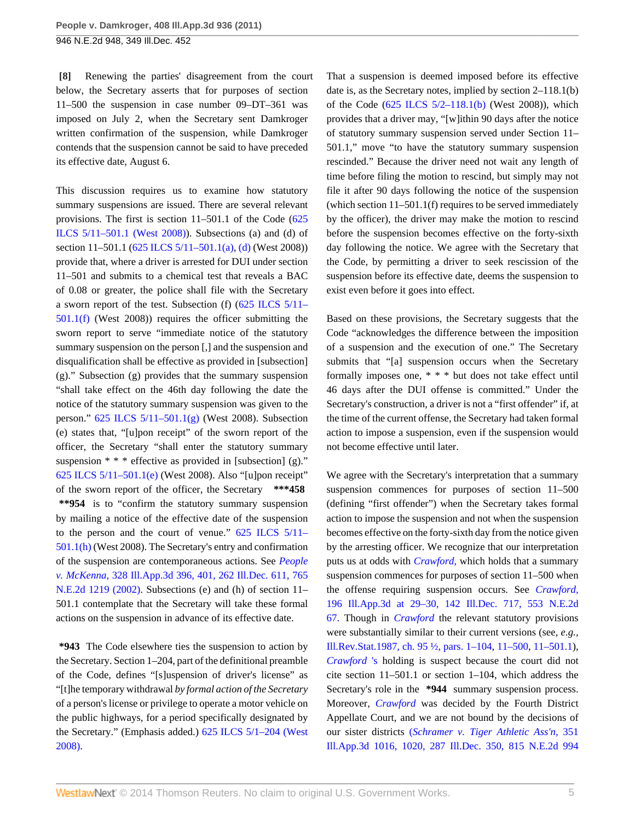<span id="page-4-0"></span>**[\[8\]](#page-1-0)** Renewing the parties' disagreement from the court below, the Secretary asserts that for purposes of section 11–500 the suspension in case number 09–DT–361 was imposed on July 2, when the Secretary sent Damkroger written confirmation of the suspension, while Damkroger contends that the suspension cannot be said to have preceded its effective date, August 6.

This discussion requires us to examine how statutory summary suspensions are issued. There are several relevant provisions. The first is section 11–501.1 of the Code ([625](http://www.westlaw.com/Link/Document/FullText?findType=L&pubNum=1000008&cite=IL625S5%2f11-501.1&originatingDoc=I2f2bca2b4bce11e0b931b80af77abaf1&refType=LQ&originationContext=document&vr=3.0&rs=cblt1.0&transitionType=DocumentItem&contextData=(sc.Search)) [ILCS 5/11–501.1 \(West 2008\)](http://www.westlaw.com/Link/Document/FullText?findType=L&pubNum=1000008&cite=IL625S5%2f11-501.1&originatingDoc=I2f2bca2b4bce11e0b931b80af77abaf1&refType=LQ&originationContext=document&vr=3.0&rs=cblt1.0&transitionType=DocumentItem&contextData=(sc.Search))). Subsections (a) and (d) of section 11–501.1 ([625 ILCS 5/11–501.1\(a\)](http://www.westlaw.com/Link/Document/FullText?findType=L&pubNum=1000008&cite=IL625S5%2f11-501.1&originatingDoc=I2f2bca2b4bce11e0b931b80af77abaf1&refType=SP&originationContext=document&vr=3.0&rs=cblt1.0&transitionType=DocumentItem&contextData=(sc.Search)#co_pp_8b3b0000958a4), [\(d\)](http://www.westlaw.com/Link/Document/FullText?findType=L&pubNum=1000008&cite=IL625S5%2f11-501.1&originatingDoc=I2f2bca2b4bce11e0b931b80af77abaf1&refType=SP&originationContext=document&vr=3.0&rs=cblt1.0&transitionType=DocumentItem&contextData=(sc.Search)#co_pp_5ba1000067d06) (West 2008)) provide that, where a driver is arrested for DUI under section 11–501 and submits to a chemical test that reveals a BAC of 0.08 or greater, the police shall file with the Secretary a sworn report of the test. Subsection (f) [\(625 ILCS 5/11–](http://www.westlaw.com/Link/Document/FullText?findType=L&pubNum=1000008&cite=IL625S5%2f11-501.1&originatingDoc=I2f2bca2b4bce11e0b931b80af77abaf1&refType=SP&originationContext=document&vr=3.0&rs=cblt1.0&transitionType=DocumentItem&contextData=(sc.Search)#co_pp_ae0d0000c5150) [501.1\(f\)](http://www.westlaw.com/Link/Document/FullText?findType=L&pubNum=1000008&cite=IL625S5%2f11-501.1&originatingDoc=I2f2bca2b4bce11e0b931b80af77abaf1&refType=SP&originationContext=document&vr=3.0&rs=cblt1.0&transitionType=DocumentItem&contextData=(sc.Search)#co_pp_ae0d0000c5150) (West 2008)) requires the officer submitting the sworn report to serve "immediate notice of the statutory summary suspension on the person [,] and the suspension and disqualification shall be effective as provided in [subsection] (g)." Subsection (g) provides that the summary suspension "shall take effect on the 46th day following the date the notice of the statutory summary suspension was given to the person." [625 ILCS 5/11–501.1\(g\)](http://www.westlaw.com/Link/Document/FullText?findType=L&pubNum=1000008&cite=IL625S5%2f11-501.1&originatingDoc=I2f2bca2b4bce11e0b931b80af77abaf1&refType=SP&originationContext=document&vr=3.0&rs=cblt1.0&transitionType=DocumentItem&contextData=(sc.Search)#co_pp_16f4000091d86) (West 2008). Subsection (e) states that, "[u]pon receipt" of the sworn report of the officer, the Secretary "shall enter the statutory summary suspension \* \* \* effective as provided in [subsection] (g)." [625 ILCS 5/11–501.1\(e\)](http://www.westlaw.com/Link/Document/FullText?findType=L&pubNum=1000008&cite=IL625S5%2f11-501.1&originatingDoc=I2f2bca2b4bce11e0b931b80af77abaf1&refType=SP&originationContext=document&vr=3.0&rs=cblt1.0&transitionType=DocumentItem&contextData=(sc.Search)#co_pp_7fdd00001ca15) (West 2008). Also "[u]pon receipt" of the sworn report of the officer, the Secretary **\*\*\*458 \*\*954** is to "confirm the statutory summary suspension by mailing a notice of the effective date of the suspension to the person and the court of venue."  $625$  ILCS  $5/11-$ [501.1\(h\)](http://www.westlaw.com/Link/Document/FullText?findType=L&pubNum=1000008&cite=IL625S5%2f11-501.1&originatingDoc=I2f2bca2b4bce11e0b931b80af77abaf1&refType=SP&originationContext=document&vr=3.0&rs=cblt1.0&transitionType=DocumentItem&contextData=(sc.Search)#co_pp_f383000077b35) (West 2008). The Secretary's entry and confirmation of the suspension are contemporaneous actions. See *[People](http://www.westlaw.com/Link/Document/FullText?findType=Y&serNum=2002196248&pubNum=578&originationContext=document&vr=3.0&rs=cblt1.0&transitionType=DocumentItem&contextData=(sc.Search)) v. McKenna,* [328 Ill.App.3d 396, 401, 262 Ill.Dec. 611, 765](http://www.westlaw.com/Link/Document/FullText?findType=Y&serNum=2002196248&pubNum=578&originationContext=document&vr=3.0&rs=cblt1.0&transitionType=DocumentItem&contextData=(sc.Search)) [N.E.2d 1219 \(2002\)](http://www.westlaw.com/Link/Document/FullText?findType=Y&serNum=2002196248&pubNum=578&originationContext=document&vr=3.0&rs=cblt1.0&transitionType=DocumentItem&contextData=(sc.Search)). Subsections (e) and (h) of section 11– 501.1 contemplate that the Secretary will take these formal actions on the suspension in advance of its effective date.

**\*943** The Code elsewhere ties the suspension to action by the Secretary. Section 1–204, part of the definitional preamble of the Code, defines "[s]uspension of driver's license" as "[t]he temporary withdrawal *by formal action of the Secretary* of a person's license or privilege to operate a motor vehicle on the public highways, for a period specifically designated by the Secretary." (Emphasis added.) [625 ILCS 5/1–204 \(West](http://www.westlaw.com/Link/Document/FullText?findType=L&pubNum=1000008&cite=IL625S5%2f1-204&originatingDoc=I2f2bca2b4bce11e0b931b80af77abaf1&refType=LQ&originationContext=document&vr=3.0&rs=cblt1.0&transitionType=DocumentItem&contextData=(sc.Search)) [2008\)](http://www.westlaw.com/Link/Document/FullText?findType=L&pubNum=1000008&cite=IL625S5%2f1-204&originatingDoc=I2f2bca2b4bce11e0b931b80af77abaf1&refType=LQ&originationContext=document&vr=3.0&rs=cblt1.0&transitionType=DocumentItem&contextData=(sc.Search)).

That a suspension is deemed imposed before its effective date is, as the Secretary notes, implied by section 2–118.1(b) of the Code ([625 ILCS 5/2–118.1\(b\)](http://www.westlaw.com/Link/Document/FullText?findType=L&pubNum=1000008&cite=IL625S5%2f2-118.1&originatingDoc=I2f2bca2b4bce11e0b931b80af77abaf1&refType=SP&originationContext=document&vr=3.0&rs=cblt1.0&transitionType=DocumentItem&contextData=(sc.Search)#co_pp_a83b000018c76) (West 2008)), which provides that a driver may, "[w]ithin 90 days after the notice of statutory summary suspension served under Section 11– 501.1," move "to have the statutory summary suspension rescinded." Because the driver need not wait any length of time before filing the motion to rescind, but simply may not file it after 90 days following the notice of the suspension (which section 11–501.1(f) requires to be served immediately by the officer), the driver may make the motion to rescind before the suspension becomes effective on the forty-sixth day following the notice. We agree with the Secretary that the Code, by permitting a driver to seek rescission of the suspension before its effective date, deems the suspension to exist even before it goes into effect.

Based on these provisions, the Secretary suggests that the Code "acknowledges the difference between the imposition of a suspension and the execution of one." The Secretary submits that "[a] suspension occurs when the Secretary formally imposes one, \* \* \* but does not take effect until 46 days after the DUI offense is committed." Under the Secretary's construction, a driver is not a "first offender" if, at the time of the current offense, the Secretary had taken formal action to impose a suspension, even if the suspension would not become effective until later.

We agree with the Secretary's interpretation that a summary suspension commences for purposes of section 11–500 (defining "first offender") when the Secretary takes formal action to impose the suspension and not when the suspension becomes effective on the forty-sixth day from the notice given by the arresting officer. We recognize that our interpretation puts us at odds with *[Crawford,](http://www.westlaw.com/Link/Document/FullText?findType=Y&serNum=1990057538&originationContext=document&vr=3.0&rs=cblt1.0&transitionType=DocumentItem&contextData=(sc.Search))* which holds that a summary suspension commences for purposes of section 11–500 when the offense requiring suspension occurs. See *[Crawford,](http://www.westlaw.com/Link/Document/FullText?findType=Y&serNum=1990057538&pubNum=578&originationContext=document&vr=3.0&rs=cblt1.0&transitionType=DocumentItem&contextData=(sc.Search))* [196 Ill.App.3d at 29–30, 142 Ill.Dec. 717, 553 N.E.2d](http://www.westlaw.com/Link/Document/FullText?findType=Y&serNum=1990057538&pubNum=578&originationContext=document&vr=3.0&rs=cblt1.0&transitionType=DocumentItem&contextData=(sc.Search)) [67.](http://www.westlaw.com/Link/Document/FullText?findType=Y&serNum=1990057538&pubNum=578&originationContext=document&vr=3.0&rs=cblt1.0&transitionType=DocumentItem&contextData=(sc.Search)) Though in *[Crawford](http://www.westlaw.com/Link/Document/FullText?findType=Y&serNum=1990057538&originationContext=document&vr=3.0&rs=cblt1.0&transitionType=DocumentItem&contextData=(sc.Search))* the relevant statutory provisions were substantially similar to their current versions (see, *e.g.,* [Ill.Rev.Stat.1987, ch. 95 ½, pars. 1–104,](http://www.westlaw.com/Link/Document/FullText?findType=L&pubNum=1000008&cite=IL951%2f2P1-104&originatingDoc=I2f2bca2b4bce11e0b931b80af77abaf1&refType=LQ&originationContext=document&vr=3.0&rs=cblt1.0&transitionType=DocumentItem&contextData=(sc.Search)) [11–500,](http://www.westlaw.com/Link/Document/FullText?findType=L&pubNum=1000008&cite=IL951%2f2P11-500&originatingDoc=I2f2bca2b4bce11e0b931b80af77abaf1&refType=LQ&originationContext=document&vr=3.0&rs=cblt1.0&transitionType=DocumentItem&contextData=(sc.Search)) [11–501.1](http://www.westlaw.com/Link/Document/FullText?findType=L&pubNum=1000008&cite=IL951%2f2P11-501.1&originatingDoc=I2f2bca2b4bce11e0b931b80af77abaf1&refType=LQ&originationContext=document&vr=3.0&rs=cblt1.0&transitionType=DocumentItem&contextData=(sc.Search))), *[Crawford](http://www.westlaw.com/Link/Document/FullText?findType=Y&serNum=1990057538&originationContext=document&vr=3.0&rs=cblt1.0&transitionType=DocumentItem&contextData=(sc.Search))* 's holding is suspect because the court did not cite section 11–501.1 or section 1–104, which address the Secretary's role in the **\*944** summary suspension process. Moreover, *[Crawford](http://www.westlaw.com/Link/Document/FullText?findType=Y&serNum=1990057538&originationContext=document&vr=3.0&rs=cblt1.0&transitionType=DocumentItem&contextData=(sc.Search))* was decided by the Fourth District Appellate Court, and we are not bound by the decisions of our sister districts (*[Schramer v. Tiger Athletic Ass'n,](http://www.westlaw.com/Link/Document/FullText?findType=Y&serNum=2005072740&pubNum=578&originationContext=document&vr=3.0&rs=cblt1.0&transitionType=DocumentItem&contextData=(sc.Search))* 351 [Ill.App.3d 1016, 1020, 287 Ill.Dec. 350, 815 N.E.2d 994](http://www.westlaw.com/Link/Document/FullText?findType=Y&serNum=2005072740&pubNum=578&originationContext=document&vr=3.0&rs=cblt1.0&transitionType=DocumentItem&contextData=(sc.Search))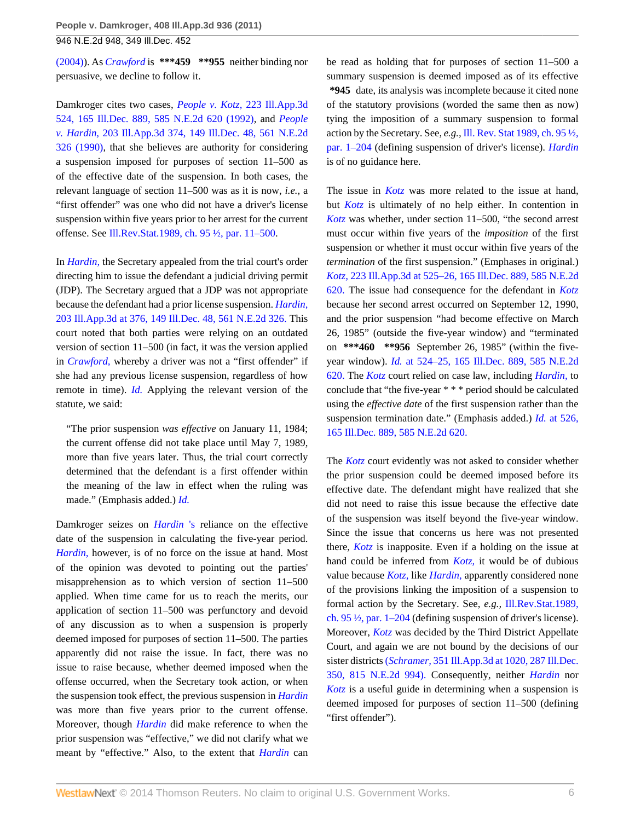[\(2004\)\)](http://www.westlaw.com/Link/Document/FullText?findType=Y&serNum=2005072740&pubNum=578&originationContext=document&vr=3.0&rs=cblt1.0&transitionType=DocumentItem&contextData=(sc.Search)). As *[Crawford](http://www.westlaw.com/Link/Document/FullText?findType=Y&serNum=1990057538&originationContext=document&vr=3.0&rs=cblt1.0&transitionType=DocumentItem&contextData=(sc.Search))* is **\*\*\*459 \*\*955** neither binding nor persuasive, we decline to follow it.

Damkroger cites two cases, *People v. Kotz,* [223 Ill.App.3d](http://www.westlaw.com/Link/Document/FullText?findType=Y&serNum=1992021363&pubNum=578&originationContext=document&vr=3.0&rs=cblt1.0&transitionType=DocumentItem&contextData=(sc.Search)) [524, 165 Ill.Dec. 889, 585 N.E.2d 620 \(1992\),](http://www.westlaw.com/Link/Document/FullText?findType=Y&serNum=1992021363&pubNum=578&originationContext=document&vr=3.0&rs=cblt1.0&transitionType=DocumentItem&contextData=(sc.Search)) and *[People](http://www.westlaw.com/Link/Document/FullText?findType=Y&serNum=1990138470&pubNum=578&originationContext=document&vr=3.0&rs=cblt1.0&transitionType=DocumentItem&contextData=(sc.Search)) v. Hardin,* [203 Ill.App.3d 374, 149 Ill.Dec. 48, 561 N.E.2d](http://www.westlaw.com/Link/Document/FullText?findType=Y&serNum=1990138470&pubNum=578&originationContext=document&vr=3.0&rs=cblt1.0&transitionType=DocumentItem&contextData=(sc.Search)) [326 \(1990\),](http://www.westlaw.com/Link/Document/FullText?findType=Y&serNum=1990138470&pubNum=578&originationContext=document&vr=3.0&rs=cblt1.0&transitionType=DocumentItem&contextData=(sc.Search)) that she believes are authority for considering a suspension imposed for purposes of section 11–500 as of the effective date of the suspension. In both cases, the relevant language of section 11–500 was as it is now, *i.e.,* a "first offender" was one who did not have a driver's license suspension within five years prior to her arrest for the current offense. See [Ill.Rev.Stat.1989, ch. 95 ½, par. 11–500.](http://www.westlaw.com/Link/Document/FullText?findType=L&pubNum=1000008&cite=IL951%2f2P11-500&originatingDoc=I2f2bca2b4bce11e0b931b80af77abaf1&refType=LQ&originationContext=document&vr=3.0&rs=cblt1.0&transitionType=DocumentItem&contextData=(sc.Search))

In *[Hardin,](http://www.westlaw.com/Link/Document/FullText?findType=Y&serNum=1990138470&originationContext=document&vr=3.0&rs=cblt1.0&transitionType=DocumentItem&contextData=(sc.Search))* the Secretary appealed from the trial court's order directing him to issue the defendant a judicial driving permit (JDP). The Secretary argued that a JDP was not appropriate because the defendant had a prior license suspension. *[Hardin,](http://www.westlaw.com/Link/Document/FullText?findType=Y&serNum=1990138470&pubNum=578&originationContext=document&vr=3.0&rs=cblt1.0&transitionType=DocumentItem&contextData=(sc.Search))* [203 Ill.App.3d at 376, 149 Ill.Dec. 48, 561 N.E.2d 326.](http://www.westlaw.com/Link/Document/FullText?findType=Y&serNum=1990138470&pubNum=578&originationContext=document&vr=3.0&rs=cblt1.0&transitionType=DocumentItem&contextData=(sc.Search)) This court noted that both parties were relying on an outdated version of section 11–500 (in fact, it was the version applied in *Crawford*, whereby a driver was not a "first offender" if she had any previous license suspension, regardless of how remote in time). *[Id.](http://www.westlaw.com/Link/Document/FullText?findType=Y&serNum=1990138470&originationContext=document&vr=3.0&rs=cblt1.0&transitionType=DocumentItem&contextData=(sc.Search))* Applying the relevant version of the statute, we said:

"The prior suspension *was effective* on January 11, 1984; the current offense did not take place until May 7, 1989, more than five years later. Thus, the trial court correctly determined that the defendant is a first offender within the meaning of the law in effect when the ruling was made." (Emphasis added.) *[Id.](http://www.westlaw.com/Link/Document/FullText?findType=Y&serNum=1990138470&originationContext=document&vr=3.0&rs=cblt1.0&transitionType=DocumentItem&contextData=(sc.Search))*

Damkroger seizes on *[Hardin](http://www.westlaw.com/Link/Document/FullText?findType=Y&serNum=1990138470&originationContext=document&vr=3.0&rs=cblt1.0&transitionType=DocumentItem&contextData=(sc.Search))* 's reliance on the effective date of the suspension in calculating the five-year period. *[Hardin,](http://www.westlaw.com/Link/Document/FullText?findType=Y&serNum=1990138470&originationContext=document&vr=3.0&rs=cblt1.0&transitionType=DocumentItem&contextData=(sc.Search))* however, is of no force on the issue at hand. Most of the opinion was devoted to pointing out the parties' misapprehension as to which version of section 11–500 applied. When time came for us to reach the merits, our application of section 11–500 was perfunctory and devoid of any discussion as to when a suspension is properly deemed imposed for purposes of section 11–500. The parties apparently did not raise the issue. In fact, there was no issue to raise because, whether deemed imposed when the offense occurred, when the Secretary took action, or when the suspension took effect, the previous suspension in *[Hardin](http://www.westlaw.com/Link/Document/FullText?findType=Y&serNum=1990138470&originationContext=document&vr=3.0&rs=cblt1.0&transitionType=DocumentItem&contextData=(sc.Search))* was more than five years prior to the current offense. Moreover, though *[Hardin](http://www.westlaw.com/Link/Document/FullText?findType=Y&serNum=1990138470&originationContext=document&vr=3.0&rs=cblt1.0&transitionType=DocumentItem&contextData=(sc.Search))* did make reference to when the prior suspension was "effective," we did not clarify what we meant by "effective." Also, to the extent that *[Hardin](http://www.westlaw.com/Link/Document/FullText?findType=Y&serNum=1990138470&originationContext=document&vr=3.0&rs=cblt1.0&transitionType=DocumentItem&contextData=(sc.Search))* can

be read as holding that for purposes of section 11–500 a summary suspension is deemed imposed as of its effective **\*945** date, its analysis was incomplete because it cited none of the statutory provisions (worded the same then as now) tying the imposition of a summary suspension to formal action by the Secretary. See, *e.g.,* [Ill. Rev. Stat 1989, ch. 95 ½,](http://www.westlaw.com/Link/Document/FullText?findType=L&pubNum=1000008&cite=IL951%2f2P1-204&originatingDoc=I2f2bca2b4bce11e0b931b80af77abaf1&refType=LQ&originationContext=document&vr=3.0&rs=cblt1.0&transitionType=DocumentItem&contextData=(sc.Search)) [par. 1–204](http://www.westlaw.com/Link/Document/FullText?findType=L&pubNum=1000008&cite=IL951%2f2P1-204&originatingDoc=I2f2bca2b4bce11e0b931b80af77abaf1&refType=LQ&originationContext=document&vr=3.0&rs=cblt1.0&transitionType=DocumentItem&contextData=(sc.Search)) (defining suspension of driver's license). *[Hardin](http://www.westlaw.com/Link/Document/FullText?findType=Y&serNum=1990138470&originationContext=document&vr=3.0&rs=cblt1.0&transitionType=DocumentItem&contextData=(sc.Search))* is of no guidance here.

The issue in *[Kotz](http://www.westlaw.com/Link/Document/FullText?findType=Y&serNum=1992021363&originationContext=document&vr=3.0&rs=cblt1.0&transitionType=DocumentItem&contextData=(sc.Search))* was more related to the issue at hand, but *[Kotz](http://www.westlaw.com/Link/Document/FullText?findType=Y&serNum=1992021363&originationContext=document&vr=3.0&rs=cblt1.0&transitionType=DocumentItem&contextData=(sc.Search))* is ultimately of no help either. In contention in *[Kotz](http://www.westlaw.com/Link/Document/FullText?findType=Y&serNum=1992021363&originationContext=document&vr=3.0&rs=cblt1.0&transitionType=DocumentItem&contextData=(sc.Search))* was whether, under section 11–500, "the second arrest must occur within five years of the *imposition* of the first suspension or whether it must occur within five years of the *termination* of the first suspension." (Emphases in original.) *Kotz,* [223 Ill.App.3d at 525–26, 165 Ill.Dec. 889, 585 N.E.2d](http://www.westlaw.com/Link/Document/FullText?findType=Y&serNum=1992021363&pubNum=578&originationContext=document&vr=3.0&rs=cblt1.0&transitionType=DocumentItem&contextData=(sc.Search)) [620.](http://www.westlaw.com/Link/Document/FullText?findType=Y&serNum=1992021363&pubNum=578&originationContext=document&vr=3.0&rs=cblt1.0&transitionType=DocumentItem&contextData=(sc.Search)) The issue had consequence for the defendant in *[Kotz](http://www.westlaw.com/Link/Document/FullText?findType=Y&serNum=1992021363&originationContext=document&vr=3.0&rs=cblt1.0&transitionType=DocumentItem&contextData=(sc.Search))* because her second arrest occurred on September 12, 1990, and the prior suspension "had become effective on March 26, 1985" (outside the five-year window) and "terminated on **\*\*\*460 \*\*956** September 26, 1985" (within the fiveyear window). *Id.* [at 524–25, 165 Ill.Dec. 889, 585 N.E.2d](http://www.westlaw.com/Link/Document/FullText?findType=Y&serNum=1992021363&pubNum=578&originationContext=document&vr=3.0&rs=cblt1.0&transitionType=DocumentItem&contextData=(sc.Search)) [620.](http://www.westlaw.com/Link/Document/FullText?findType=Y&serNum=1992021363&pubNum=578&originationContext=document&vr=3.0&rs=cblt1.0&transitionType=DocumentItem&contextData=(sc.Search)) The *[Kotz](http://www.westlaw.com/Link/Document/FullText?findType=Y&serNum=1992021363&originationContext=document&vr=3.0&rs=cblt1.0&transitionType=DocumentItem&contextData=(sc.Search))* court relied on case law, including *[Hardin,](http://www.westlaw.com/Link/Document/FullText?findType=Y&serNum=1990138470&originationContext=document&vr=3.0&rs=cblt1.0&transitionType=DocumentItem&contextData=(sc.Search))* to conclude that "the five-year \* \* \* period should be calculated using the *effective date* of the first suspension rather than the suspension termination date." (Emphasis added.) *Id.* [at 526,](http://www.westlaw.com/Link/Document/FullText?findType=Y&serNum=1992021363&pubNum=578&originationContext=document&vr=3.0&rs=cblt1.0&transitionType=DocumentItem&contextData=(sc.Search)) [165 Ill.Dec. 889, 585 N.E.2d 620.](http://www.westlaw.com/Link/Document/FullText?findType=Y&serNum=1992021363&pubNum=578&originationContext=document&vr=3.0&rs=cblt1.0&transitionType=DocumentItem&contextData=(sc.Search))

The *[Kotz](http://www.westlaw.com/Link/Document/FullText?findType=Y&serNum=1992021363&originationContext=document&vr=3.0&rs=cblt1.0&transitionType=DocumentItem&contextData=(sc.Search))* court evidently was not asked to consider whether the prior suspension could be deemed imposed before its effective date. The defendant might have realized that she did not need to raise this issue because the effective date of the suspension was itself beyond the five-year window. Since the issue that concerns us here was not presented there, *[Kotz](http://www.westlaw.com/Link/Document/FullText?findType=Y&serNum=1992021363&originationContext=document&vr=3.0&rs=cblt1.0&transitionType=DocumentItem&contextData=(sc.Search))* is inapposite. Even if a holding on the issue at hand could be inferred from *[Kotz,](http://www.westlaw.com/Link/Document/FullText?findType=Y&serNum=1992021363&originationContext=document&vr=3.0&rs=cblt1.0&transitionType=DocumentItem&contextData=(sc.Search))* it would be of dubious value because *[Kotz,](http://www.westlaw.com/Link/Document/FullText?findType=Y&serNum=1992021363&originationContext=document&vr=3.0&rs=cblt1.0&transitionType=DocumentItem&contextData=(sc.Search))* like *[Hardin,](http://www.westlaw.com/Link/Document/FullText?findType=Y&serNum=1990138470&originationContext=document&vr=3.0&rs=cblt1.0&transitionType=DocumentItem&contextData=(sc.Search))* apparently considered none of the provisions linking the imposition of a suspension to formal action by the Secretary. See, *e.g.,* [Ill.Rev.Stat.1989,](http://www.westlaw.com/Link/Document/FullText?findType=L&pubNum=1000008&cite=IL951%2f2P1-204&originatingDoc=I2f2bca2b4bce11e0b931b80af77abaf1&refType=LQ&originationContext=document&vr=3.0&rs=cblt1.0&transitionType=DocumentItem&contextData=(sc.Search)) [ch. 95 ½, par. 1–204](http://www.westlaw.com/Link/Document/FullText?findType=L&pubNum=1000008&cite=IL951%2f2P1-204&originatingDoc=I2f2bca2b4bce11e0b931b80af77abaf1&refType=LQ&originationContext=document&vr=3.0&rs=cblt1.0&transitionType=DocumentItem&contextData=(sc.Search)) (defining suspension of driver's license). Moreover, *[Kotz](http://www.westlaw.com/Link/Document/FullText?findType=Y&serNum=1992021363&originationContext=document&vr=3.0&rs=cblt1.0&transitionType=DocumentItem&contextData=(sc.Search))* was decided by the Third District Appellate Court, and again we are not bound by the decisions of our sister districts (*Schramer,* [351 Ill.App.3d at 1020, 287 Ill.Dec.](http://www.westlaw.com/Link/Document/FullText?findType=Y&serNum=2005072740&pubNum=578&originationContext=document&vr=3.0&rs=cblt1.0&transitionType=DocumentItem&contextData=(sc.Search)) [350, 815 N.E.2d 994\).](http://www.westlaw.com/Link/Document/FullText?findType=Y&serNum=2005072740&pubNum=578&originationContext=document&vr=3.0&rs=cblt1.0&transitionType=DocumentItem&contextData=(sc.Search)) Consequently, neither *[Hardin](http://www.westlaw.com/Link/Document/FullText?findType=Y&serNum=1990138470&originationContext=document&vr=3.0&rs=cblt1.0&transitionType=DocumentItem&contextData=(sc.Search))* nor *[Kotz](http://www.westlaw.com/Link/Document/FullText?findType=Y&serNum=1992021363&originationContext=document&vr=3.0&rs=cblt1.0&transitionType=DocumentItem&contextData=(sc.Search))* is a useful guide in determining when a suspension is deemed imposed for purposes of section 11–500 (defining "first offender").